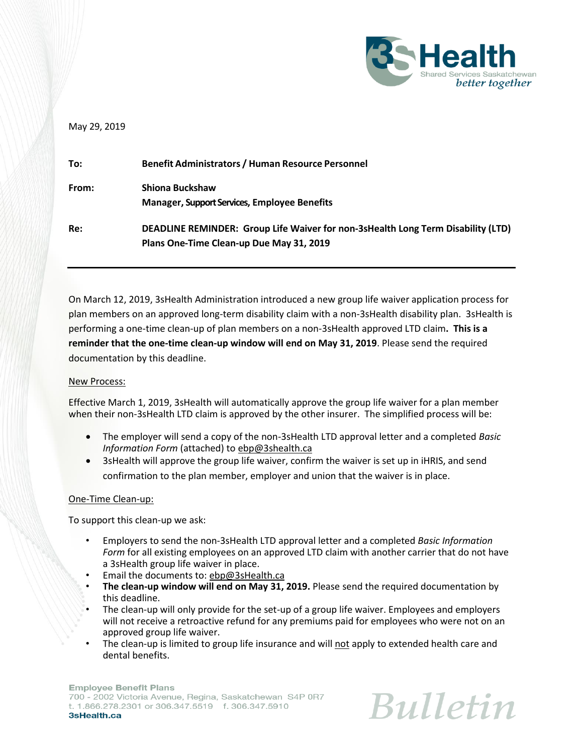

## May 29, 2019

| To:   | <b>Benefit Administrators / Human Resource Personnel</b>                                                                     |
|-------|------------------------------------------------------------------------------------------------------------------------------|
| From: | Shiona Buckshaw<br>Manager, Support Services, Employee Benefits                                                              |
| Re:   | DEADLINE REMINDER: Group Life Waiver for non-3sHealth Long Term Disability (LTD)<br>Plans One-Time Clean-up Due May 31, 2019 |

On March 12, 2019, 3sHealth Administration introduced a new group life waiver application process for plan members on an approved long-term disability claim with a non-3sHealth disability plan. 3sHealth is performing a one-time clean-up of plan members on a non-3sHealth approved LTD claim**. This is a reminder that the one-time clean-up window will end on May 31, 2019**. Please send the required documentation by this deadline.

## New Process:

Effective March 1, 2019, 3sHealth will automatically approve the group life waiver for a plan member when their non-3sHealth LTD claim is approved by the other insurer. The simplified process will be:

- The employer will send a copy of the non-3sHealth LTD approval letter and a completed *Basic Information Form* (attached) to [ebp@3shealth.ca](mailto:ebp@3shealth.ca)
- 3sHealth will approve the group life waiver, confirm the waiver is set up in iHRIS, and send confirmation to the plan member, employer and union that the waiver is in place.

## One-Time Clean-up:

To support this clean-up we ask:

- Employers to send the non-3sHealth LTD approval letter and a completed *Basic Information Form* for all existing employees on an approved LTD claim with another carrier that do not have a 3sHealth group life waiver in place.
- Email the documents to: [ebp@3sHealth.ca](mailto:ebp@3sHealth.ca)
- **The clean-up window will end on May 31, 2019.** Please send the required documentation by this deadline.
- The clean-up will only provide for the set-up of a group life waiver. Employees and employers will not receive a retroactive refund for any premiums paid for employees who were not on an approved group life waiver.
- The clean-up is limited to group life insurance and will not apply to extended health care and dental benefits.